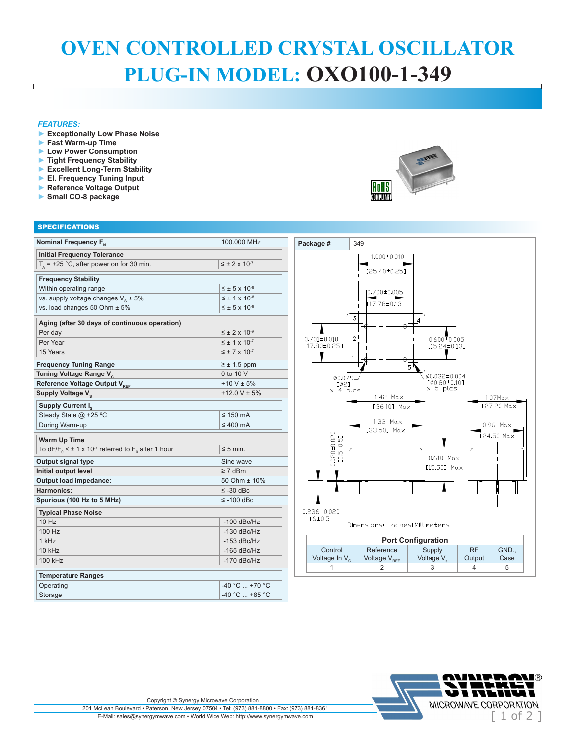## **OVEN CONTROLLED CRYSTAL OSCILLATOR PLUG-IN MODEL: OXO100-1-349**

## *FEATURES:*

- **► Exceptionally Low Phase Noise**
- **► Fast Warm-up Time**
- **► Low Power Consumption**
- **► Tight Frequency Stability**
- **► Excellent Long-Term Stability**
- **► El. Frequency Tuning Input**
- **► Reference Voltage Output**
- **► Small CO-8 package**



## **SPECIFICATIONS Nominal Frequency F<sub>N</sub>** 100.000 MHz **Initial Frequency Tolerance**   $T_A$  = +25 °C, after power on for 30 min.  $\leq \pm 2 \times 10^{-7}$ **Frequency Stability** Within operating range  $\vert \leq \pm 5 \times 10^{-8}$ vs. supply voltage changes  $V_s \pm 5\%$ <br>
vs. load changes 50 Ohm  $\pm 5\%$ <br>  $\leq \pm 5 \times 10^{-8}$ vs. load changes 50 Ohm  $± 5%$ **Aging (after 30 days of continuous operation)** Per day  $\leq \pm 2 \times 10^{-9}$ Per Year  $\leq \pm 1 \times 10^{-7}$ 15 Years  $\leq \pm 7 \times 10^{-7}$ **Frequency Tuning Range**  $\geq \pm 1.5$  ppm **Tuning Voltage Range V** $\frac{\cdot}{\cdot}$   $\frac{0 \text{ to } 10 \text{ V}}{110 \text{ V} + 5\%}$ **Reference Voltage Output V**<sub>REF</sub>  $+10 \vee \pm 5\%$ <br> **Supply Voltage V** Supply Voltage V<sub>s</sub> **Supply Current I.** Steady State  $\textcircled{a}$  +25 °C  $\leq$  150 mA During Warm-up ≤ 400 mA **Warm Up Time** To dF/F<sub>0</sub>  $\leq$  ± 1 x 10<sup>-7</sup> referred to F<sub>0</sub> after 1 hour  $\leq$  5 min. **Output signal type Sine wave** Sine wave **Initial output level ≥ 7 dBm Output load impedance:** 50 Ohm ± 10% **Harmonics:** ≤ -30 dBc **Spurious (100 Hz to 5 MHz)** ≤ -100 dBc **Typical Phase Noise** 10 Hz  $\vert$  -100 dBc/Hz 100 Hz 1 kHz 10 kHz 100 kHz  $\sim$  170 dBc/Hz **Temperature Ranges** Operating  $-40 °C ... +70 °C$ Storage  $-40 °C ... +85 °C$